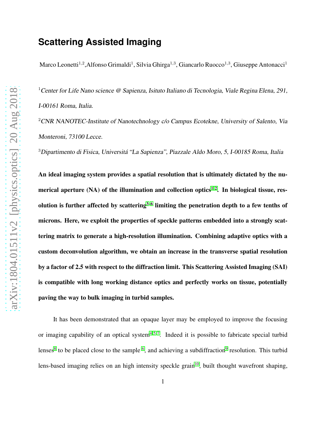## **Scattering Assisted Imaging**

Marco Leonetti<sup>1,2</sup>,Alfonso Grimaldi<sup>1</sup>, Silvia Ghirga<sup>1,3</sup>, Giancarlo Ruocco<sup>1,3</sup>, Giuseppe Antonacci<sup>1</sup>

<sup>1</sup> Center for Life Nano science @ Sapienza, Isituto Italiano di Tecnologia, Viale Regina Elena, 291, I-00161 Roma, Italia.

<sup>2</sup>CNR NANOTEC-Institute of Nanotechnology c/o Campus Ecotekne, University of Salento, Via Monteroni, <sup>73100</sup> Lecce.

<sup>3</sup>Dipartimento di Fisica, Universitá "La Sapienza", Piazzale Aldo Moro, 5, I-00185 Roma, Italia

An ideal imaging system provides a spatial resolution that is ultimately dictated by the numerical aperture  $(NA)$  of the illumination and collection optics<sup>[1,](#page-14-0)2</sup>. In biological tissue, res-olution is further affected by scattering<sup>[3](#page-14-2)-6</sup> limiting the penetration depth to a few tenths of microns. Here, we exploit the properties of speckle patterns embedded into a strongly scattering matrix to generate a high-resolution illumination. Combining adaptive optics with a custom deconvolution algorithm, we obtain an increase in the transverse spatial resolution by a factor of 2.5 with respect to the diffraction limit. This Scattering Assisted Imaging (SAI) is compatible with long working distance optics and perfectly works on tissue, potentially paving the way to bulk imaging in turbid samples.

It has been demonstrated that an opaque layer may be employed to improve the focusing or imaging capability of an optical system<sup>[4,](#page-14-4)5,7</sup>. Indeed it is possible to fabricate special turbid lenses<sup>[8](#page-14-7)</sup> to be placed close to the sample  $6$ , and achieving a subdiffraction<sup>[9](#page-15-0)</sup> resolution. This turbid lens-based imaging relies on an high intensity speckle grain<sup>[10](#page-15-1)</sup>, built thought wavefront shaping,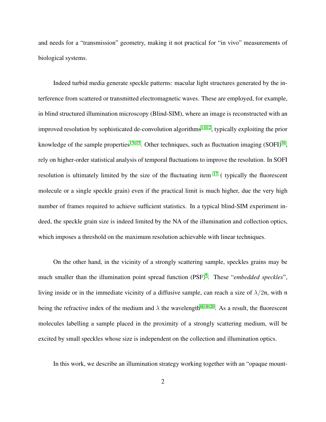and needs for a "transmission" geometry, making it not practical for "in vivo" measurements of biological systems.

Indeed turbid media generate speckle patterns: macular light structures generated by the interference from scattered or transmitted electromagnetic waves. These are employed, for example, in blind structured illumination microscopy (Blind-SIM), where an image is reconstructed with an improved resolution by sophisticated de-convolution algorithms<sup>[11,](#page-15-2) [12](#page-15-3)</sup>, typically exploiting the prior knowledge of the sample properties<sup>[13](#page-15-4)[–15](#page-15-5)</sup>. Other techniques, such as fluctuation imaging  $(SOFI)^{16}$  $(SOFI)^{16}$  $(SOFI)^{16}$ , rely on higher-order statistical analysis of temporal fluctuations to improve the resolution. In SOFI resolution is ultimately limited by the size of the fluctuating item  $17$  ( typically the fluorescent molecule or a single speckle grain) even if the practical limit is much higher, due the very high number of frames required to achieve sufficient statistics. In a typical blind-SIM experiment indeed, the speckle grain size is indeed limited by the NA of the illumination and collection optics, which imposes a threshold on the maximum resolution achievable with linear techniques.

On the other hand, in the vicinity of a strongly scattering sample, speckles grains may be much smaller than the illumination point spread function (PSF)<sup>[5](#page-14-5)</sup>. These "*embedded speckles*", living inside or in the immediate vicinity of a diffusive sample, can reach a size of  $\lambda/2n$ , with n being the refractive index of the medium and  $\lambda$  the wavelength<sup>[6,](#page-14-3) [18–](#page-16-0)[20](#page-16-1)</sup>. As a result, the fluorescent molecules labelling a sample placed in the proximity of a strongly scattering medium, will be excited by small speckles whose size is independent on the collection and illumination optics.

In this work, we describe an illumination strategy working together with an "opaque mount-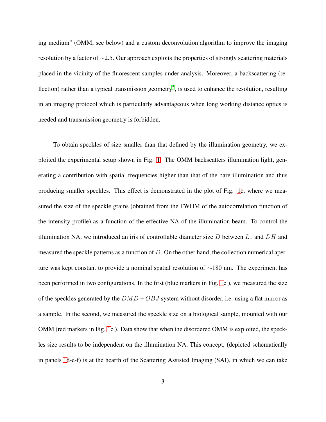ing medium" (OMM, see below) and a custom deconvolution algorithm to improve the imaging resolution by a factor of ∼2.5. Our approach exploits the properties of strongly scattering materials placed in the vicinity of the fluorescent samples under analysis. Moreover, a backscattering (re-flection) rather than a typical transmission geometry<sup>[5](#page-14-5)</sup>, is used to enhance the resolution, resulting in an imaging protocol which is particularly advantageous when long working distance optics is needed and transmission geometry is forbidden.

To obtain speckles of size smaller than that defined by the illumination geometry, we exploited the experimental setup shown in Fig. [1.](#page-6-0) The OMM backscatters illumination light, generating a contribution with spatial frequencies higher than that of the bare illumination and thus producing smaller speckles. This effect is demonstrated in the plot of Fig. [1c](#page-6-0), where we measured the size of the speckle grains (obtained from the FWHM of the autocorrelation function of the intensity profile) as a function of the effective NA of the illumination beam. To control the illumination NA, we introduced an iris of controllable diameter size  $D$  between  $L1$  and  $DH$  and measured the speckle patterns as a function of  $D$ . On the other hand, the collection numerical aperture was kept constant to provide a nominal spatial resolution of ∼180 nm. The experiment has been performed in two configurations. In the first (blue markers in Fig. [1c](#page-6-0) ), we measured the size of the speckles generated by the  $DMD + OBJ$  system without disorder, i.e. using a flat mirror as a sample. In the second, we measured the speckle size on a biological sample, mounted with our OMM (red markers in Fig. [1c](#page-6-0) ). Data show that when the disordered OMM is exploited, the speckles size results to be independent on the illumination NA. This concept, (depicted schematically in panels [1d](#page-6-0)-e-f) is at the hearth of the Scattering Assisted Imaging (SAI), in which we can take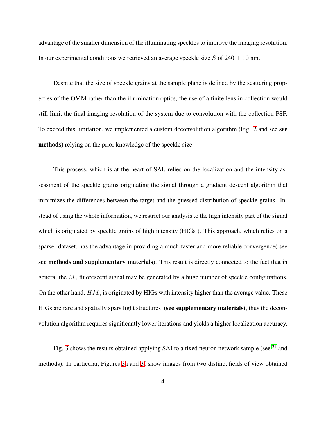advantage of the smaller dimension of the illuminating speckles to improve the imaging resolution. In our experimental conditions we retrieved an average speckle size  $S$  of 240  $\pm$  10 nm.

Despite that the size of speckle grains at the sample plane is defined by the scattering properties of the OMM rather than the illumination optics, the use of a finite lens in collection would still limit the final imaging resolution of the system due to convolution with the collection PSF. To exceed this limitation, we implemented a custom deconvolution algorithm (Fig. [2](#page-7-0) and see see methods) relying on the prior knowledge of the speckle size.

This process, which is at the heart of SAI, relies on the localization and the intensity assessment of the speckle grains originating the signal through a gradient descent algorithm that minimizes the differences between the target and the guessed distribution of speckle grains. Instead of using the whole information, we restrict our analysis to the high intensity part of the signal which is originated by speckle grains of high intensity (HIGs ). This approach, which relies on a sparser dataset, has the advantage in providing a much faster and more reliable convergence( see see methods and supplementary materials). This result is directly connected to the fact that in general the  $M_n$  fluorescent signal may be generated by a huge number of speckle configurations. On the other hand,  $HM_n$  is originated by HIGs with intensity higher than the average value. These HIGs are rare and spatially spars light structures (see supplementary materials), thus the deconvolution algorithm requires significantly lower iterations and yields a higher localization accuracy.

Fig. [3](#page-8-0) shows the results obtained applying SAI to a fixed neuron network sample (see <sup>[21](#page-16-2)</sup> and methods). In particular, Figures [3a](#page-8-0) and [3f](#page-8-0) show images from two distinct fields of view obtained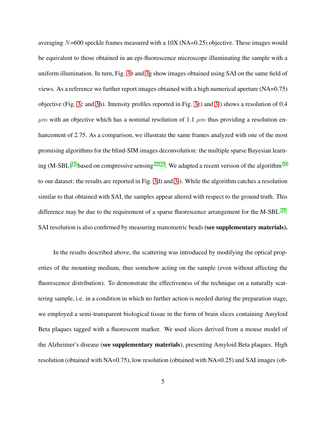averaging  $N=600$  speckle frames measured with a  $10X$  (NA=0.25) objective. These images would be equivalent to those obtained in an epi-fluorescence microscope illuminating the sample with a uniform illumination. In turn, Fig. [3b](#page-8-0) and [3g](#page-8-0) show images obtained using SAI on the same field of views. As a reference we further report images obtained with a high numerical aperture (NA=0.75) objective (Fig. [3c](#page-8-0) and [3h](#page-8-0)). Intensity profiles reported in Fig. [3e](#page-8-0)) and [3l](#page-8-0)) shows a resolution of 0.4  $\mu$ m with an objective which has a nominal resolution of 1.1  $\mu$ m thus providing a resolution enhancement of 2.75. As a comparison, we illustrate the same frames analyzed with one of the most promising algorithms for the blind-SIM images deconvolution: the multiple sparse Bayesian learning  $(M-SBL)^{13}$  $(M-SBL)^{13}$  $(M-SBL)^{13}$  based on compressive sensing <sup>[22,](#page-16-3) [23](#page-16-4)</sup>. We adapted a recent version of the algorithm <sup>[24](#page-16-5)</sup> to our dataset: the results are reported in Fig. [3d](#page-8-0)) and [3i](#page-8-0)). While the algorithm catches a resolution similar to that obtained with SAI, the samples appear altered with respect to the ground truth. This difference may be due to the requirement of a sparse fluorescence arrangement for the M-SBL  $^{25}$  $^{25}$  $^{25}$ . SAI resolution is also confirmed by measuring manometric beads (see supplementary materials).

In the results described above, the scattering was introduced by modifying the optical properties of the mounting medium, thus somehow acting on the sample (even without affecting the fluorescence distribution). To demonstrate the effectiveness of the technique on a naturally scattering sample, i.e. in a condition in which no further action is needed during the preparation stage, we employed a semi-transparent biological tissue in the form of brain slices containing Amyloid Beta plaques tagged with a fluorescent marker. We used slices derived from a mouse model of the Alzheimer's disease (see supplementary materials), presenting Amyloid Beta plaques. High resolution (obtained with NA=0.75), low resolution (obtained with NA=0.25) and SAI images (ob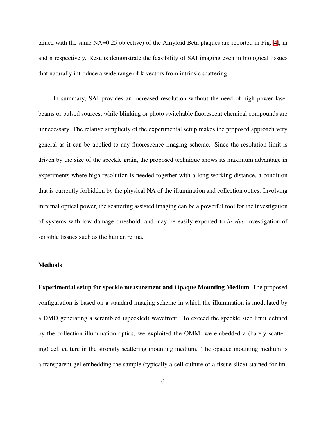tained with the same NA=0.25 objective) of the Amyloid Beta plaques are reported in Fig. [4l](#page-9-0), m and n respectively. Results demonstrate the feasibility of SAI imaging even in biological tissues that naturally introduce a wide range of k-vectors from intrinsic scattering.

In summary, SAI provides an increased resolution without the need of high power laser beams or pulsed sources, while blinking or photo switchable fluorescent chemical compounds are unnecessary. The relative simplicity of the experimental setup makes the proposed approach very general as it can be applied to any fluorescence imaging scheme. Since the resolution limit is driven by the size of the speckle grain, the proposed technique shows its maximum advantage in experiments where high resolution is needed together with a long working distance, a condition that is currently forbidden by the physical NA of the illumination and collection optics. Involving minimal optical power, the scattering assisted imaging can be a powerful tool for the investigation of systems with low damage threshold, and may be easily exported to *in-vivo* investigation of sensible tissues such as the human retina.

## **Methods**

Experimental setup for speckle measurement and Opaque Mounting Medium The proposed configuration is based on a standard imaging scheme in which the illumination is modulated by a DMD generating a scrambled (speckled) wavefront. To exceed the speckle size limit defined by the collection-illumination optics, we exploited the OMM: we embedded a (barely scattering) cell culture in the strongly scattering mounting medium. The opaque mounting medium is a transparent gel embedding the sample (typically a cell culture or a tissue slice) stained for im-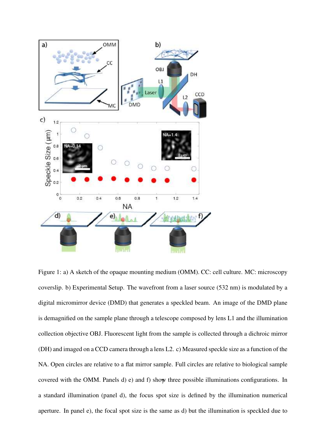

<span id="page-6-0"></span>Figure 1: a) A sketch of the opaque mounting medium (OMM). CC: cell culture. MC: microscopy coverslip. b) Experimental Setup. The wavefront from a laser source (532 nm) is modulated by a digital micromirror device (DMD) that generates a speckled beam. An image of the DMD plane is demagnified on the sample plane through a telescope composed by lens L1 and the illumination collection objective OBJ. Fluorescent light from the sample is collected through a dichroic mirror (DH) and imaged on a CCD camera through a lens L2. c) Measured speckle size as a function of the NA. Open circles are relative to a flat mirror sample. Full circles are relative to biological sample covered with the OMM. Panels d) e) and f) show three possible illuminations configurations. In 7a standard illumination (panel d), the focus spot size is defined by the illumination numerical aperture. In panel e), the focal spot size is the same as d) but the illumination is speckled due to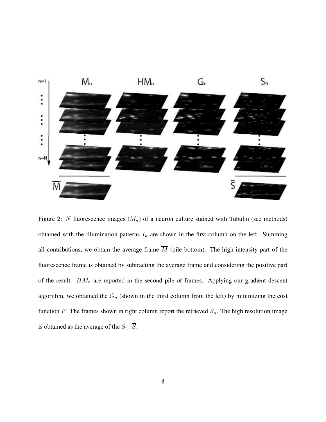

<span id="page-7-0"></span>Figure 2: N fluorescence images  $(M_n)$  of a neuron culture stained with Tubulin (see methods) obtained with the illumination patterns  $I_n$  are shown in the first column on the left. Summing all contributions, we obtain the average frame  $\overline{M}$  (pile bottom). The high intensity part of the fluorescence frame is obtained by subtracting the average frame and considering the positive part of the result.  $HM_n$  are reported in the second pile of frames. Applying our gradient descent algorithm, we obtained the  $G_n$  (shown in the third column from the left) by minimizing the cost function F. The frames shown in right column report the retrieved  $S_n$ . The high resolution image is obtained as the average of the  $S_n$ :  $\overline{S}$ .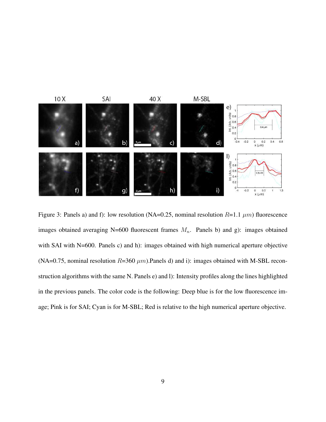

<span id="page-8-0"></span>Figure 3: Panels a) and f): low resolution (NA=0.25, nominal resolution  $R=1.1 \ \mu m$ ) fluorescence images obtained averaging N=600 fluorescent frames  $M_n$ . Panels b) and g): images obtained with SAI with N=600. Panels c) and h): images obtained with high numerical aperture objective (NA=0.75, nominal resolution  $R=360 \mu m$ ). Panels d) and i): images obtained with M-SBL reconstruction algorithms with the same N. Panels e) and l): Intensity profiles along the lines highlighted in the previous panels. The color code is the following: Deep blue is for the low fluorescence image; Pink is for SAI; Cyan is for M-SBL; Red is relative to the high numerical aperture objective.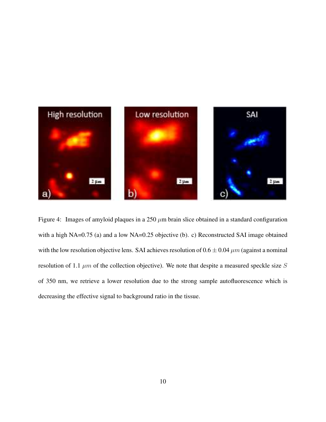

<span id="page-9-0"></span>Figure 4: Images of amyloid plaques in a 250  $\mu$ m brain slice obtained in a standard configuration with a high NA=0.75 (a) and a low NA=0.25 objective (b). c) Reconstructed SAI image obtained with the low resolution objective lens. SAI achieves resolution of  $0.6 \pm 0.04 \ \mu m$  (against a nominal resolution of 1.1  $\mu$ m of the collection objective). We note that despite a measured speckle size S of 350 nm, we retrieve a lower resolution due to the strong sample autofluorescence which is decreasing the effective signal to background ratio in the tissue.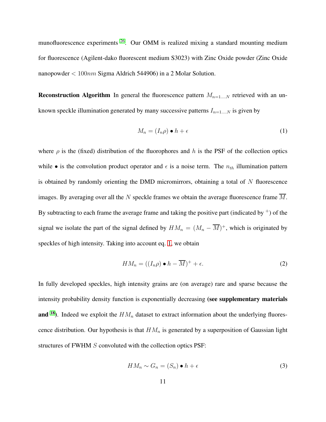munofluorescence experiments <sup>[26](#page-16-7)</sup>. Our OMM is realized mixing a standard mounting medium for fluorescence (Agilent-dako fluorescent medium S3023) with Zinc Oxide powder (Zinc Oxide nanopowder  $< 100nm$  Sigma Aldrich 544906) in a 2 Molar Solution.

**Reconstruction Algorithm** In general the fluorescence pattern  $M_{n=1,...,N}$  retrieved with an unknown speckle illumination generated by many successive patterns  $I_{n=1,...N}$  is given by

<span id="page-10-0"></span>
$$
M_n = (I_n \rho) \bullet h + \epsilon \tag{1}
$$

where  $\rho$  is the (fixed) distribution of the fluorophores and h is the PSF of the collection optics while • is the convolution product operator and  $\epsilon$  is a noise term. The  $n_{th}$  illumination pattern is obtained by randomly orienting the DMD micromirrors, obtaining a total of  $N$  fluorescence images. By averaging over all the N speckle frames we obtain the average fluorescence frame  $\overline{M}$ . By subtracting to each frame the average frame and taking the positive part (indicated by  $+$ ) of the signal we isolate the part of the signal defined by  $HM_n = (M_n - \overline{M})^+$ , which is originated by speckles of high intensity. Taking into account eq. [1,](#page-10-0) we obtain

$$
HM_n = ((I_n \rho) \bullet h - \overline{M})^+ + \epsilon.
$$
 (2)

In fully developed speckles, high intensity grains are (on average) rare and sparse because the intensity probability density function is exponentially decreasing (see supplementary materials and <sup>[18](#page-16-0)</sup>). Indeed we exploit the  $HM_n$  dataset to extract information about the underlying fluorescence distribution. Our hypothesis is that  $HM_n$  is generated by a superposition of Gaussian light structures of FWHM S convoluted with the collection optics PSF:

$$
HM_n \sim G_n = (S_n) \bullet h + \epsilon \tag{3}
$$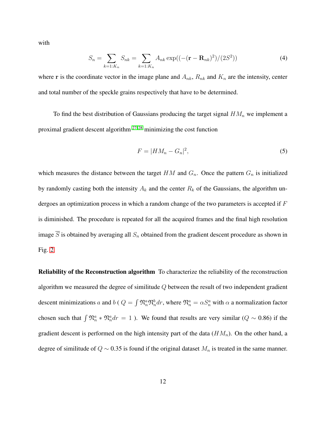with

$$
S_n = \sum_{k=1:K_n} S_{nk} = \sum_{k=1:K_n} A_{nk} \exp((- (\mathbf{r} - \mathbf{R}_{nk})^2) / (2S^2))
$$
 (4)

where r is the coordinate vector in the image plane and  $A_{nk}$ ,  $R_{nk}$  and  $K_n$  are the intensity, center and total number of the speckle grains respectively that have to be determined.

To find the best distribution of Gaussians producing the target signal  $HM_n$  we implement a proximal gradient descent algorithm  $27.28$  minimizing the cost function

$$
F = |HM_n - G_n|^2,\tag{5}
$$

which measures the distance between the target  $HM$  and  $G_n$ . Once the pattern  $G_n$  is initialized by randomly casting both the intensity  $A_k$  and the center  $R_k$  of the Gaussians, the algorithm undergoes an optimization process in which a random change of the two parameters is accepted if F is diminished. The procedure is repeated for all the acquired frames and the final high resolution image  $\overline{S}$  is obtained by averaging all  $S_n$  obtained from the gradient descent procedure as shown in Fig. [2.](#page-7-0)

Reliability of the Reconstruction algorithm To characterize the reliability of the reconstruction algorithm we measured the degree of similitude Q between the result of two independent gradient descent minimizations a and b ( $Q = \int \mathfrak{N}_n^a \mathfrak{N}_n^b dr$ , where  $\mathfrak{N}_n^a = \alpha S_n^a$  with  $\alpha$  a normalization factor chosen such that  $\int \mathfrak{N}_n^a * \mathfrak{N}_n^a dr = 1$ . We found that results are very similar ( $Q \sim 0.86$ ) if the gradient descent is performed on the high intensity part of the data  $(HM_n)$ . On the other hand, a degree of similitude of  $Q \sim 0.35$  is found if the original dataset  $M_n$  is treated in the same manner.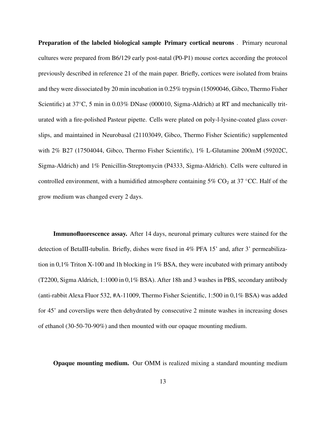Preparation of the labeled biological sample Primary cortical neurons . Primary neuronal cultures were prepared from B6/129 early post-natal (P0-P1) mouse cortex according the protocol previously described in reference 21 of the main paper. Briefly, cortices were isolated from brains and they were dissociated by 20 min incubation in 0.25% trypsin (15090046, Gibco, Thermo Fisher Scientific) at 37◦C, 5 min in 0.03% DNase (000010, Sigma-Aldrich) at RT and mechanically triturated with a fire-polished Pasteur pipette. Cells were plated on poly-l-lysine-coated glass coverslips, and maintained in Neurobasal (21103049, Gibco, Thermo Fisher Scientific) supplemented with 2% B27 (17504044, Gibco, Thermo Fisher Scientific), 1% L-Glutamine 200mM (59202C, Sigma-Aldrich) and 1% Penicillin-Streptomycin (P4333, Sigma-Aldrich). Cells were cultured in controlled environment, with a humidified atmosphere containing  $5\%$  CO<sub>2</sub> at 37 °CC. Half of the grow medium was changed every 2 days.

Immunofluorescence assay. After 14 days, neuronal primary cultures were stained for the detection of BetaIII-tubulin. Briefly, dishes were fixed in 4% PFA 15' and, after 3' permeabilization in 0,1% Triton X-100 and 1h blocking in 1% BSA, they were incubated with primary antibody (T2200, Sigma Aldrich, 1:1000 in 0,1% BSA). After 18h and 3 washes in PBS, secondary antibody (anti-rabbit Alexa Fluor 532, #A-11009, Thermo Fisher Scientific, 1:500 in 0,1% BSA) was added for 45' and coverslips were then dehydrated by consecutive 2 minute washes in increasing doses of ethanol (30-50-70-90%) and then mounted with our opaque mounting medium.

Opaque mounting medium. Our OMM is realized mixing a standard mounting medium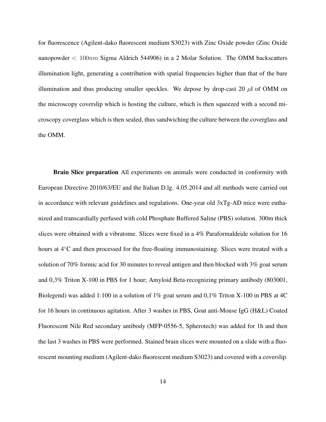for fluorescence (Agilent-dako fluorescent medium S3023) with Zinc Oxide powder (Zinc Oxide nanopowder < 100nm Sigma Aldrich 544906) in a 2 Molar Solution. The OMM backscatters illumination light, generating a contribution with spatial frequencies higher than that of the bare illumination and thus producing smaller speckles. We depose by drop-cast 20  $\mu$ l of OMM on the microscopy coverslip which is hosting the culture, which is then squeezed with a second microscopy coverglass which is then sealed, thus sandwiching the culture between the coverglass and the OMM.

**Brain Slice preparation** All experiments on animals were conducted in conformity with European Directive 2010/63/EU and the Italian D.lg. 4.05.2014 and all methods were carried out in accordance with relevant guidelines and regulations. One-year old 3xTg-AD mice were euthanized and transcardially perfused with cold Phosphate Buffered Saline (PBS) solution. 300m thick slices were obtained with a vibratome. Slices were fixed in a 4% Paraformaldeide solution for 16 hours at 4◦C and then processed for the free-floating immunostaining. Slices were treated with a solution of 70% formic acid for 30 minutes to reveal antigen and then blocked with 3% goat serum and 0,3% Triton X-100 in PBS for 1 hour; Amyloid Beta-recognizing primary antibody (803001, Biolegend) was added 1:100 in a solution of 1% goat serum and 0,1% Triton X-100 in PBS at 4C for 16 hours in continuous agitation. After 3 washes in PBS, Goat anti-Mouse IgG (H&L) Coated Fluorescent Nile Red secondary antibody (MFP-0556-5, Spherotech) was added for 1h and then the last 3 washes in PBS were performed. Stained brain slices were mounted on a slide with a fluorescent mounting medium (Agilent-dako fluorescent medium S3023) and covered with a coverslip.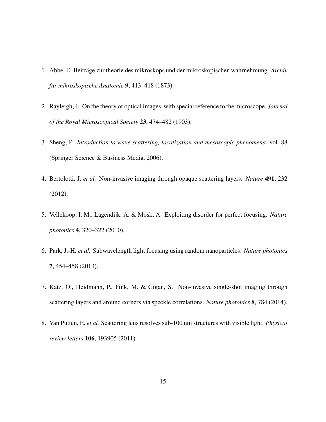- <span id="page-14-1"></span><span id="page-14-0"></span>1. Abbe, E. Beiträge zur theorie des mikroskops und der mikroskopischen wahrnehmung. *Archiv für mikroskopische Anatomie* **9**, 413–418 (1873).
- <span id="page-14-2"></span>2. Rayleigh, L. On the theory of optical images, with special reference to the microscope. *Journal of the Royal Microscopical Society* 23, 474–482 (1903).
- <span id="page-14-4"></span>3. Sheng, P. *Introduction to wave scattering, localization and mesoscopic phenomena*, vol. 88 (Springer Science & Business Media, 2006).
- <span id="page-14-5"></span>4. Bertolotti, J. *et al.* Non-invasive imaging through opaque scattering layers. *Nature* 491, 232 (2012).
- <span id="page-14-3"></span>5. Vellekoop, I. M., Lagendijk, A. & Mosk, A. Exploiting disorder for perfect focusing. *Nature photonics* 4, 320–322 (2010).
- <span id="page-14-6"></span>6. Park, J.-H. *et al.* Subwavelength light focusing using random nanoparticles. *Nature photonics* 7, 454–458 (2013).
- <span id="page-14-7"></span>7. Katz, O., Heidmann, P., Fink, M. & Gigan, S. Non-invasive single-shot imaging through scattering layers and around corners via speckle correlations. *Nature photonics* 8, 784 (2014).
- 8. Van Putten, E. *et al.* Scattering lens resolves sub-100 nm structures with visible light. *Physical review letters* 106, 193905 (2011).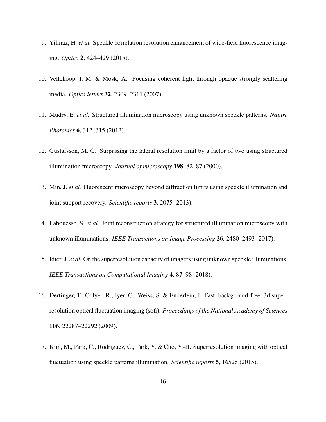- <span id="page-15-1"></span><span id="page-15-0"></span>9. Yilmaz, H. *et al.* Speckle correlation resolution enhancement of wide-field fluorescence imaging. *Optica* 2, 424–429 (2015).
- <span id="page-15-2"></span>10. Vellekoop, I. M. & Mosk, A. Focusing coherent light through opaque strongly scattering media. *Optics letters* 32, 2309–2311 (2007).
- <span id="page-15-3"></span>11. Mudry, E. *et al.* Structured illumination microscopy using unknown speckle patterns. *Nature Photonics* 6, 312–315 (2012).
- <span id="page-15-4"></span>12. Gustafsson, M. G. Surpassing the lateral resolution limit by a factor of two using structured illumination microscopy. *Journal of microscopy* 198, 82–87 (2000).
- 13. Min, J. *et al.* Fluorescent microscopy beyond diffraction limits using speckle illumination and joint support recovery. *Scientific reports* 3, 2075 (2013).
- <span id="page-15-5"></span>14. Labouesse, S. *et al.* Joint reconstruction strategy for structured illumination microscopy with unknown illuminations. *IEEE Transactions on Image Processing* 26, 2480–2493 (2017).
- <span id="page-15-6"></span>15. Idier, J. *et al.* On the superresolution capacity of imagers using unknown speckle illuminations. *IEEE Transactions on Computational Imaging* 4, 87–98 (2018).
- 16. Dertinger, T., Colyer, R., Iyer, G., Weiss, S. & Enderlein, J. Fast, background-free, 3d superresolution optical fluctuation imaging (sofi). *Proceedings of the National Academy of Sciences* 106, 22287–22292 (2009).
- <span id="page-15-7"></span>17. Kim, M., Park, C., Rodriguez, C., Park, Y. & Cho, Y.-H. Superresolution imaging with optical fluctuation using speckle patterns illumination. *Scientific reports* 5, 16525 (2015).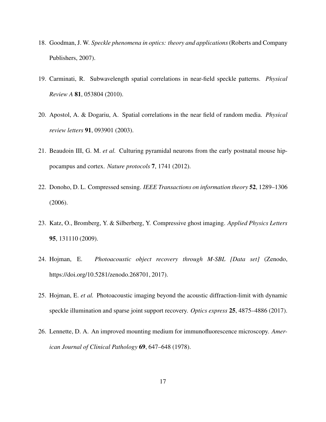- <span id="page-16-0"></span>18. Goodman, J. W. *Speckle phenomena in optics: theory and applications*(Roberts and Company Publishers, 2007).
- <span id="page-16-1"></span>19. Carminati, R. Subwavelength spatial correlations in near-field speckle patterns. *Physical Review A* 81, 053804 (2010).
- <span id="page-16-2"></span>20. Apostol, A. & Dogariu, A. Spatial correlations in the near field of random media. *Physical review letters* 91, 093901 (2003).
- <span id="page-16-3"></span>21. Beaudoin III, G. M. *et al.* Culturing pyramidal neurons from the early postnatal mouse hippocampus and cortex. *Nature protocols* 7, 1741 (2012).
- <span id="page-16-4"></span>22. Donoho, D. L. Compressed sensing. *IEEE Transactions on information theory* 52, 1289–1306 (2006).
- <span id="page-16-5"></span>23. Katz, O., Bromberg, Y. & Silberberg, Y. Compressive ghost imaging. *Applied Physics Letters* 95, 131110 (2009).
- <span id="page-16-6"></span>24. Hojman, E. *Photoacoustic object recovery through M-SBL [Data set]* (Zenodo, https://doi.org/10.5281/zenodo.268701, 2017).
- <span id="page-16-7"></span>25. Hojman, E. *et al.* Photoacoustic imaging beyond the acoustic diffraction-limit with dynamic speckle illumination and sparse joint support recovery. *Optics express* 25, 4875–4886 (2017).
- 26. Lennette, D. A. An improved mounting medium for immunofluorescence microscopy. *American Journal of Clinical Pathology* 69, 647–648 (1978).